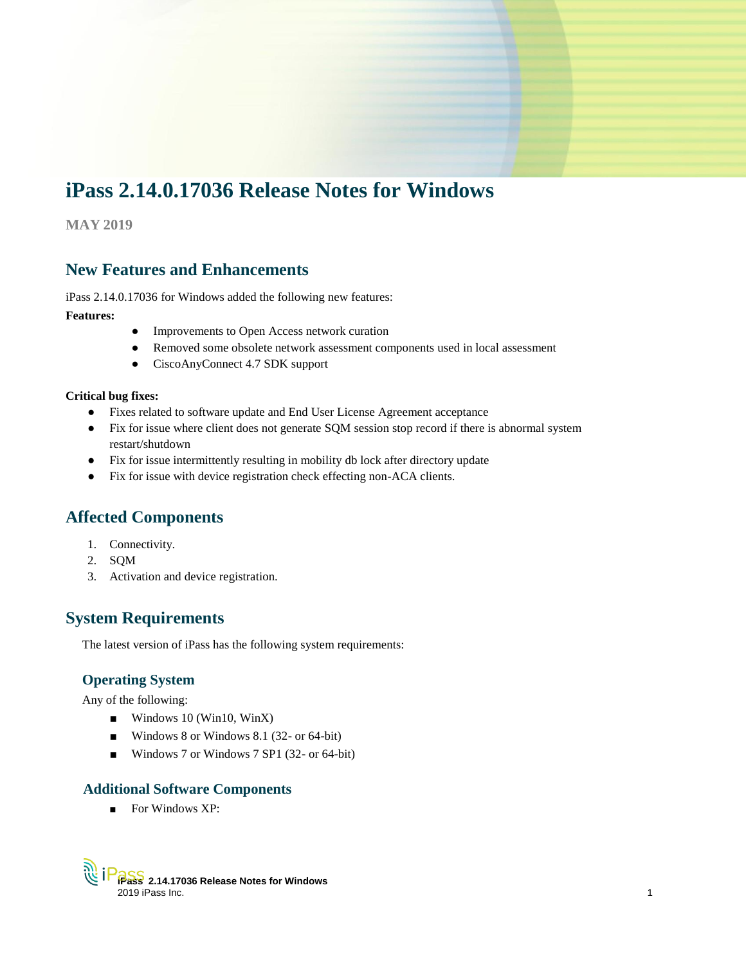# **iPass 2.14.0.17036 Release Notes for Windows**

**MAY 2019**

# **New Features and Enhancements**

iPass 2.14.0.17036 for Windows added the following new features:

#### **Features:**

- Improvements to Open Access network curation
- Removed some obsolete network assessment components used in local assessment
- CiscoAnyConnect 4.7 SDK support

#### **Critical bug fixes:**

- Fixes related to software update and End User License Agreement acceptance
- Fix for issue where client does not generate SQM session stop record if there is abnormal system restart/shutdown
- Fix for issue intermittently resulting in mobility db lock after directory update
- Fix for issue with device registration check effecting non-ACA clients.

# **Affected Components**

- 1. Connectivity.
- 2. SQM
- 3. Activation and device registration.

# **System Requirements**

The latest version of iPass has the following system requirements:

# **Operating System**

Any of the following:

- Windows 10 (Win10, WinX)
- Windows 8 or Windows 8.1 (32- or 64-bit)
- Windows 7 or Windows 7 SP1 (32- or 64-bit)

## **Additional Software Components**

■ For Windows XP: